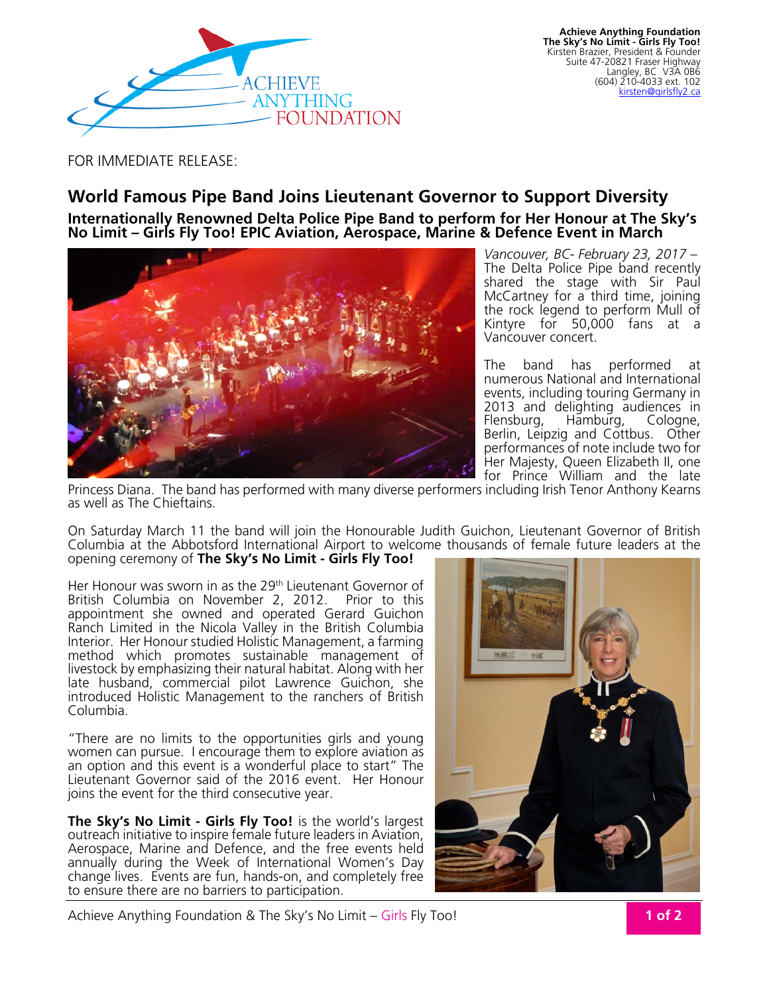

FOR IMMEDIATE RELEASE:

## **World Famous Pipe Band Joins Lieutenant Governor to Support Diversity**

**Internationally Renowned Delta Police Pipe Band to perform for Her Honour at The Sky's No Limit – Girls Fly Too! EPIC Aviation, Aerospace, Marine & Defence Event in March** 



*Vancouver, BC- February 23, 2017 –*  The Delta Police Pipe band recently shared the stage with Sir Paul McCartney for a third time, joining the rock legend to perform Mull of Kintyre for 50,000 fans at a Vancouver concert.

The band has performed at numerous National and International events, including touring Germany in 2013 and delighting audiences in<br>Flensburg, Hamburg, Cologne, Hamburg, Cologne, Berlin, Leipzig and Cottbus. Other performances of note include two for Her Majesty, Queen Elizabeth II, one for Prince William and the late

Princess Diana. The band has performed with many diverse performers including Irish Tenor Anthony Kearns as well as The Chieftains.

On Saturday March 11 the band will join the Honourable Judith Guichon, Lieutenant Governor of British Columbia at the Abbotsford International Airport to welcome thousands of female future leaders at the opening ceremony of **The Sky's No Limit - Girls Fly Too!**

Her Honour was sworn in as the 29<sup>th</sup> Lieutenant Governor of British Columbia on November 2, 2012. Prior to this appointment she owned and operated Gerard Guichon Ranch Limited in the Nicola Valley in the British Columbia Interior. Her Honour studied Holistic Management, a farming method which promotes sustainable management of livestock by emphasizing their natural habitat. Along with her late husband, commercial pilot Lawrence Guichon, she introduced Holistic Management to the ranchers of British Columbia.

"There are no limits to the opportunities girls and young women can pursue. I encourage them to explore aviation as an option and this event is a wonderful place to start" The Lieutenant Governor said of the 2016 event. Her Honour joins the event for the third consecutive year.

**The Sky's No Limit - Girls Fly Too!** is the world's largest outreach initiative to inspire female future leaders in Aviation, Aerospace, Marine and Defence, and the free events held annually during the Week of International Women's Day change lives. Events are fun, hands-on, and completely free to ensure there are no barriers to participation.



Achieve Anything Foundation & The Sky's No Limit – Girls Fly Too!